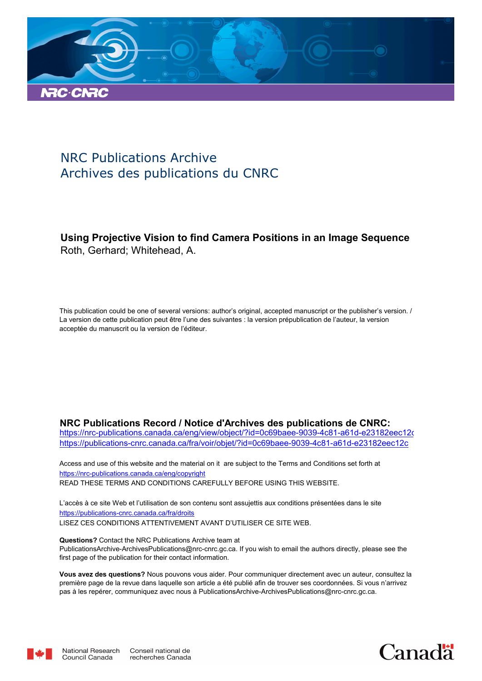

# NRC Publications Archive Archives des publications du CNRC

## **Using Projective Vision to find Camera Positions in an Image Sequence** Roth, Gerhard; Whitehead, A.

This publication could be one of several versions: author's original, accepted manuscript or the publisher's version. / La version de cette publication peut être l'une des suivantes : la version prépublication de l'auteur, la version acceptée du manuscrit ou la version de l'éditeur.

### **NRC Publications Record / Notice d'Archives des publications de CNRC:**

https://nrc-publications.canada.ca/eng/view/object/?id=0c69baee-9039-4c81-a61d-e23182eec12c https://publications-cnrc.canada.ca/fra/voir/objet/?id=0c69baee-9039-4c81-a61d-e23182eec12c

READ THESE TERMS AND CONDITIONS CAREFULLY BEFORE USING THIS WEBSITE. https://nrc-publications.canada.ca/eng/copyright Access and use of this website and the material on it are subject to the Terms and Conditions set forth at

https://publications-cnrc.canada.ca/fra/droits L'accès à ce site Web et l'utilisation de son contenu sont assujettis aux conditions présentées dans le site LISEZ CES CONDITIONS ATTENTIVEMENT AVANT D'UTILISER CE SITE WEB.

**Questions?** Contact the NRC Publications Archive team at PublicationsArchive-ArchivesPublications@nrc-cnrc.gc.ca. If you wish to email the authors directly, please see the first page of the publication for their contact information.

**Vous avez des questions?** Nous pouvons vous aider. Pour communiquer directement avec un auteur, consultez la première page de la revue dans laquelle son article a été publié afin de trouver ses coordonnées. Si vous n'arrivez pas à les repérer, communiquez avec nous à PublicationsArchive-ArchivesPublications@nrc-cnrc.gc.ca.



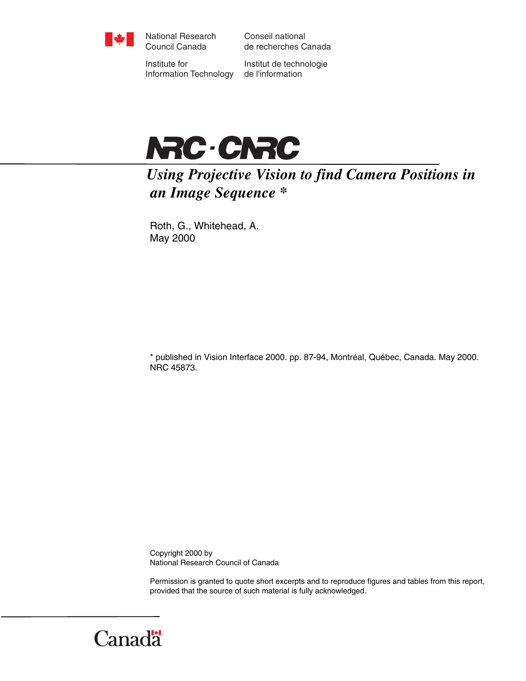

National Research Council Canada

Conseil national de recherches Canada

Institute for Information Technology

Institut de technologie de l'information



*Using Projective Vision to find Camera Positions in an Image Sequence \** 

Roth, G., Whitehead, A. May 2000

\* published in Vision Interface 2000. pp. 87-94, Montréal, Québec, Canada. May 2000. NRC 45873.

Copyright 2000 by National Research Council of Canada

Permission is granted to quote short excerpts and to reproduce figures and tables from this report, provided that the source of such material is fully acknowledged.

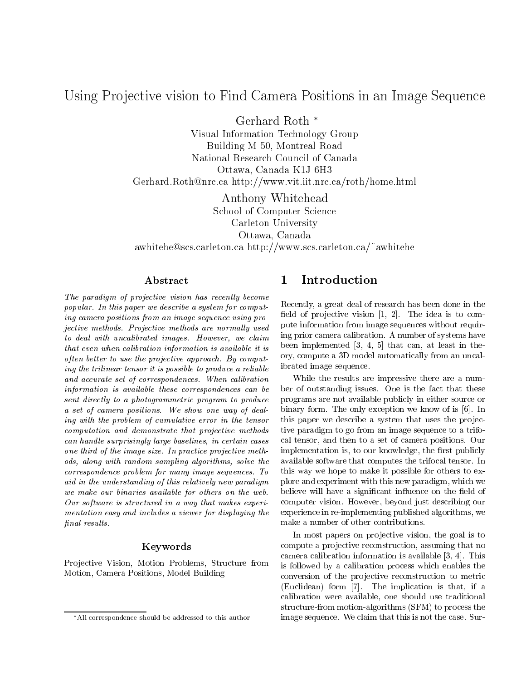## Using Pro jective vision to Find Camera Positions in an Image Sequence

Gerhard Roth

Visual Information Technology Group Building <sup>M</sup> 50, Montreal Road Ottawa, Canada K1J 6H3 Germann and roth and roth and  $\mathbb{F}_p$  if  $\mathbb{F}_p$  is a finite in the function of  $\mathbb{F}_p$ 

Anthony Whitehead School of Computer Science Carleton University Ottawa, Canada awhitehe@scs.carleton.ca http://www.scs.carleton.ca/~awhitehe

### Abstract

The paradigm of projective vision has recently become popular. In this paper we describe <sup>a</sup> system for computing camera positions from an image sequence using projective methods. Projective methods are normal ly used to deal with uncalibrated images. However, we claim that even when calibration information is available it is often better to use the projective approach. By computing the trilinear tensor it is possible to produceareliable and accurate set of correspondences. When called accurate information is available these correspondences can be sent directly to <sup>a</sup> photogrammetric program to produce a set of camera positions. We show one way of dealing with the problem of cumulative error in the tensor computation and demonstrate that the projective methods can hand a surprisingly large baselines, in certain cases one third of the image size. In practice projective methods, along with random sampling algorithms, solve the correspondence problem for many image sequences. To aid in the understanding of this relatively new paradigm we make our binaries arabited for enters on the web. Our software is structured in <sup>a</sup> way that makes experimentation easy and includes <sup>a</sup> viewer for displaying the nal results.

### Keywords

Projective Vision, Motion Problems, Structure from Motion, Camera Positions, Model Building

#### $\mathbf{1}$ Introduction

Recently, a great deal of research has been done in the field of projective vision  $[1, 2]$ . The idea is to compute information from image sequences without requiring prior camera calibration. A number of systems have been implemented [3, 4, 5] that can, at least in theory, compute a 3D model automatically from an uncalibrated image sequence.

While the results are impressive there are a number of outstanding issues. One is the fact that these programs are not available publicly in either source or binary form. The only exception we know of is [6]. In this paper we describe a system that uses the projective paradigm to go from an image sequence to a trifocal tensor, and then to a set of camera positions. Our implementation is, to our knowledge, the first publicly available software that computes the trifocal tensor. In this way we hope to make it possible for others to explore and experiment with this new paradigm, which we believe will have a significant influence on the field of computer vision. However, beyond just describing our experience in re-implementing published algorithms, we make a number of other contributions.

In most papers on projective vision, the goal is to compute a projective reconstruction, assuming that no camera calibration information is available [3, 4]. This is followed by a calibration process which enables the conversion of the projective reconstruction to metric (Euclidean) form [7]. The implication is that, if a calibration were available, one should use traditional structure-from motion-algorithms (SFM) to process the image sequence. We claim that this is not the case. Sur-

All correspondence should be addressed to this author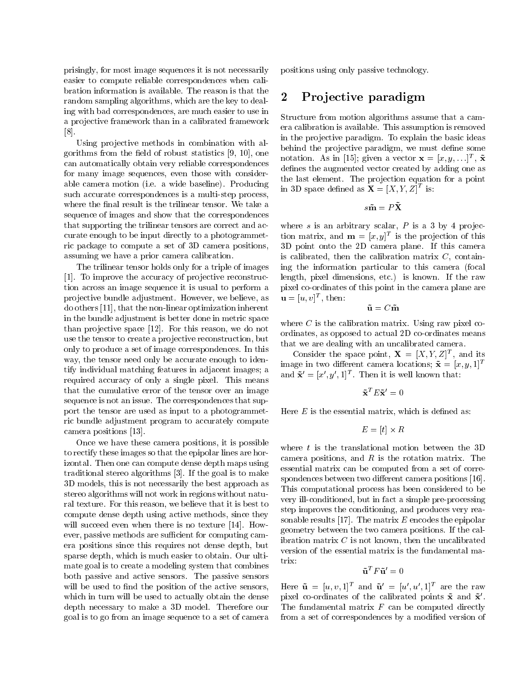prisingly, for most image sequences it is not necessarily easier to compute reliable correspondences when calibration information is available. The reason is that the random sampling algorithms, which are the key to dealing with bad correspondences, are much easier to use in a projective framework than in a calibrated framework [8].

Using projective methods in combination with algorithms from the field of robust statistics  $[9, 10]$ , one can automatically obtain very reliable correspondences for many image sequences, even those with considerable camera motion (i.e. a wide baseline). Producing such accurate correspondences is a multi-step process, where the final result is the trilinear tensor. We take a sequence of images and show that the correspondences that supporting the trilinear tensors are correct and accurate enough to be input directly to a photogrammetric package to compute a set of 3D camera positions, assuming we have a prior camera calibration.

The trilinear tensor holds only for a triple of images [1]. To improve the accuracy of projective reconstruction across an image sequence it is usual to perform a projective bundle adjustment. However, we believe, as do others [11], that the non-linear optimization inherent in the bundle adjustment is better done in metric space than projective space [12]. For this reason, we do not use the tensor to create a projective reconstruction, but only to produce a set of image correspondences. In this way, the tensor need only be accurate enough to identify individual matching features in adjacent images; a required accuracy of only a single pixel. This means that the cumulative error of the tensor over an image sequence is not an issue. The correspondences that support the tensor are used as input to a photogrammetric bundle adjustment program to accurately compute camera positions [13].

Once we have these camera positions, it is possible to rectify these images so that the epipolar lines are horizontal. Then one can compute dense depth maps using traditional stereo algorithms [3]. If the goal is to make 3D models, this is not necessarily the best approach as stereo algorithms will not work in regions without natural texture. For this reason, we believe that it is best to compute dense depth using active methods, since they will succeed even when there is no texture [14]. However, passive methods are sufficient for computing camera positions since this requires not dense depth, but sparse depth, which is much easier to obtain. Our ultimate goal is to create a modeling system that combines both passive and active sensors. The passive sensors will be used to find the position of the active sensors, which in turn will be used to actually obtain the dense depth necessary to make a 3D model. Therefore our goal is to go from an image sequence to a set of camera positions using only passive technology.

#### 2Pro jective paradigm

Structure from motion algorithms assume that a camera calibration is available. This assumption is removed in the projective paradigm. To explain the basic ideas behind the projective paradigm, we must define some notation. As in [15]; given a vector  $\mathbf{x} = [x, y, \ldots]^\top$ ,  $\mathbf{x}$ defines the augmented vector created by adding one as the last element. The projection equation for a point in 3D space defined as  $\mathbf{X} = [X, Y, Z]$  is:

$$
s\tilde{\mathbf{m}} = P\tilde{\mathbf{X}}
$$

where s is an arbitrary scalar,  $P$  is a 3 by 4 projection matrix, and  $\mathbf{m} = |x, y|$  is the projection of this 3D point onto the 2D camera plane. If this camera is calibrated, then the calibration matrix  $C$ , containing the information particular to this camera (focal length, pixel dimensions, etc.) is known. If the raw pixel co-ordinates of this point in the camera plane are  $\mathbf{u} = [u, v]$ , then:

$$
\tilde{\mathbf{u}} = C\tilde{\mathbf{m}}
$$

where  $C$  is the calibration matrix. Using raw pixel coordinates, as opposed to actual 2D co-ordinates means that we are dealing with an uncalibrated camera.

Consider the space point,  $\mathbf{A} = [A, Y, Z]^T$ , and its image in two different camera locations;  $\tilde{\mathbf{x}} = [x, y, 1]^T$ and  ${\bf x} = [x, y, 1]^\top$ . Then it is well known that:

$$
\tilde{\mathbf{x}}^T E \tilde{\mathbf{x}}' = 0
$$

Here  $E$  is the essential matrix, which is defined as:

$$
E = [t] \times R
$$

where  $t$  is the translational motion between the 3D camera positions, and  $R$  is the rotation matrix. The essential matrix can be computed from a set of correspondences between two different camera positions [16]. This computational process has been considered to be very ill-conditioned, but in fact a simple pre-processing step improves the conditioning, and produces very reasonable results [17]. The matrix  $E$  encodes the epipolar geometry between the two camera positions. If the calibration matrix  $C$  is not known, then the uncalibrated version of the essential matrix is the fundamental matrix:

$$
\tilde{\mathbf{u}}^T F \tilde{\mathbf{u}}' = 0
$$

Here  $\mathbf{u} = [u, v, 1]$  and  $\mathbf{u} = [u, u, 1]$  are the raw pixel co-ordinates of the calibrated points  $\mathbf x$  and  $\mathbf x$ . The fundamental matrix  $F$  can be computed directly from a set of correspondences by a modified version of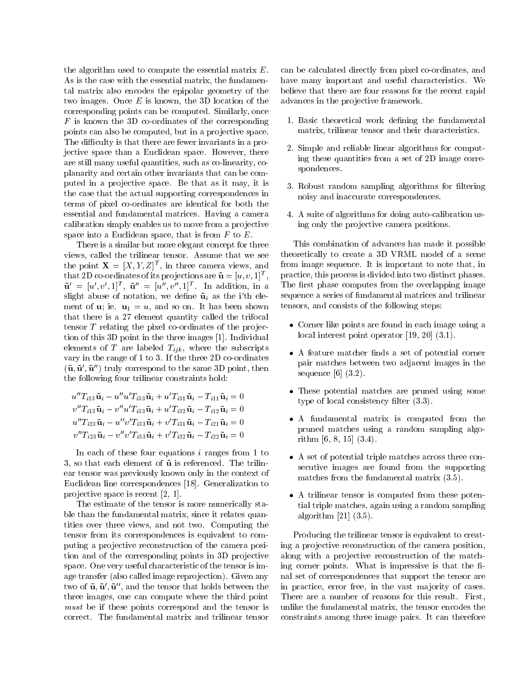the algorithm used to compute the essential matrix E. As is the case with the essential matrix, the fundamental matrix also encodes the epipolar geometry of the two images. Once  $E$  is known, the 3D location of the corresponding points can be computed. Similarly, once  $F$  is known the 3D co-ordinates of the corresponding points can also be computed, but in a projective space. The difficulty is that there are fewer invariants in a projective space than a Euclidean space. However, there are still many useful quantities, such as co-linearity, coplanarity and certain other invariants that can be computed in a projective space. Be that as it may, it is the case that the actual supporting correspondences in terms of pixel co-ordinates are identical for both the essential and fundamental matrices. Having a camera calibration simply enables us to move from a projective space into a Euclidean space, that is from  $F$  to  $E$ .

There is a similar but more elegant concept for three views, called the trilinear tensor. Assume that we see the point  $\mathbf{X} = [X, Y, Z]^{\top}$ , in three camera views, and that 2D co-ordinates of its projections are  ${\bf u} = [u, v, 1]^\top,$  ${\bf u} = [u, v, 1]^T$ ,  ${\bf u} = [u, v, 1]^T$ . In addition, in a slight abuse of notation, we define  $\tilde{u}_i$  as the i'th element of **u**; ie.  $\mathbf{u}_1 = u$ , and so on. It has been shown that there is a 27 element quantity called the trifocal tensor  $T$  relating the pixel co-ordinates of the projection of this 3D point in the three images [1]. Individual elements of T are labeled  $T_{ijk}$ , where the subscripts vary in the range of 1 to 3. If the three 2D co-ordinates  $({\bf u},{\bf u}$  ,  ${\bf u}$  ) truly correspond to the same 3D point, then the following four trilinear constraints hold:

 $u_1 u_1 u_1 = u_1 u_1 u_1 u_2 + u_2 u_1 u_1 u_1 = u_1 u_1 u_1 = u_1$  $v_{i}$   $I_{i13}$ **u**<sub>i</sub>  $-v_{i}$   $u_{i}$   $I_{i33}$ **u**<sub>i</sub>  $+$   $u_{i}$   $I_{i32}$ **u**<sub>i</sub>  $I_{i12}$ **u**<sub>i</sub>  $=$   $0$  $u_1 u_1 u_2 u_3 = u_1 v_1 u_3 u_3 u_1 + v_1 u_3 u_1 u_1 = u_1 u_1 u_1 = u_1 u_1$  $v_{l-1i23}$ u<sub>i</sub>  $-v_{l-1i33}$ u<sub>i</sub>  $+v_{l-1i32}$ u<sub>i</sub>  $-1_{i22}$ u<sub>i</sub>  $=$   $0$ 

In each of these four equations  $i$  ranges from 1 to 3, so that each element of  $\tilde{u}$  is referenced. The trilinear tensor was previously known only in the context of Euclidean line correspondences [18]. Generalization to pro jective space is recent [2, 1].

The estimate of the tensor is more numerically stable than the fundamental matrix, since it relates quantities over three views, and not two. Computing the tensor from its correspondences is equivalent to computing a projective reconstruction of the camera position and of the corresponding points in 3D projective space. One very useful characteristic of the tensor is image transfer (also called image reprojection). Given any two of  ${\bf u}, {\bf u}$  ,  ${\bf u}$  , and the tensor that holds between the three images, one can compute where the third point must be if these points correspond and the tensor is correct. The fundamental matrix and trilinear tensor

can be calculated directly from pixel co-ordinates, and have many important and useful characteristics. We believe that there are four reasons for the recent rapid advances in the projective framework.

- 1. Basic theoretical work defining the fundamental matrix, trilinear tensor and their characteristics.
- 2. Simple and reliable linear algorithms for computing these quantities from a set of 2D image correspondences.
- 3. Robust random sampling algorithms for filtering noisy and inaccurate correspondences.
- 4. A suite of algorithms for doing auto-calibration using only the projective camera positions.

This combination of advances has made it possible theoretically to create a 3D VRML model of a scene from image sequence. It is important to note that, in practice, this process is divided into two distinct phases. The first phase computes from the overlapping image sequence a series of fundamental matrices and trilinear tensors, and consists of the following steps:

- Corner like points are found in each image using a local interest point operator [19, 20] (3.1).
- A feature matcher finds a set of potential corner pair matches between two adjacent images in the sequence  $[6]$   $(3.2)$ .
- These potential matches are pruned using some type of local consistency filter  $(3.3)$ .
- A fundamental matrix is computed from the pruned matches using a random sampling algorithm [6, 8, 15] (3.4).
- A set of potential triple matches across three consecutive images are found from the supporting matches from the fundamental matrix (3.5).
- A trilinear tensor is computed from these potential triple matches, again using a random sampling algorithm [21] (3.5).

Producing the trilinear tensor is equivalent to creating a projective reconstruction of the camera position, along with a projective reconstruction of the matching corner points. What is impressive is that the final set of correspondences that support the tensor are in practice, error free, in the vast majority of cases. There are a number of reasons for this result. First, unlike the fundamental matrix, the tensor encodes the constraints among three image pairs. It can therefore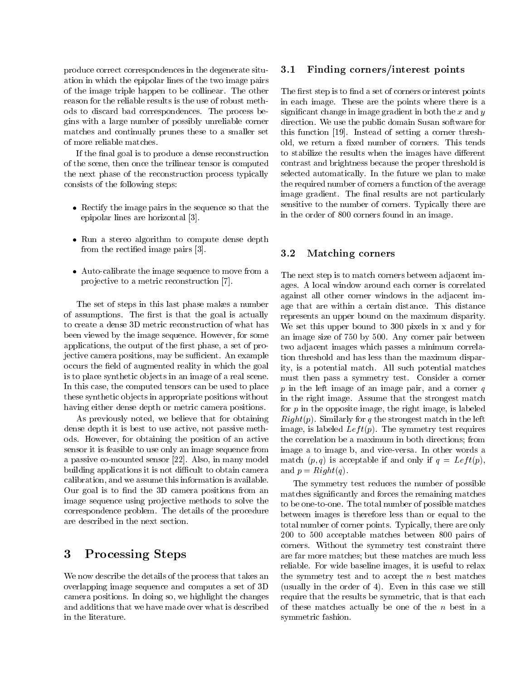produce correct correspondences in the degenerate situation in which the epipolar lines of the two image pairs of the image triple happen to be collinear. The other reason for the reliable results is the use of robust methods to discard bad correspondences. The process begins with a large number of possibly unreliable corner matches and continually prunes these to a smaller set of more reliable matches.

If the final goal is to produce a dense reconstruction of the scene, then once the trilinear tensor is computed the next phase of the reconstruction process typically consists of the following steps:

- Rectify the image pairs in the sequence so that the epipolar lines are horizontal [3].
- Run a stereo algorithm to compute dense depth from the rectied image pairs [3].
- Auto-calibrate the image sequence to move from a pro jective to a metric reconstruction [7].

The set of steps in this last phase makes a number of assumptions. The first is that the goal is actually to create a dense 3D metric reconstruction of what has been viewed by the image sequence. However, for some applications, the output of the first phase, a set of projective camera positions, may be sufficient. An example occurs the field of augmented reality in which the goal is to place synthetic ob jects in an image of a real scene. In this case, the computed tensors can be used to place these synthetic ob jects in appropriate positions without having either dense depth or metric camera positions.

As previously noted, we believe that for obtaining dense depth it is best to use active, not passive methods. However, for obtaining the position of an active sensor it is feasible to use only an image sequence from a passive co-mounted sensor [22]. Also, in many model building applications it is not difficult to obtain camera calibration, and we assume this information is available. Our goal is to find the 3D camera positions from an image sequence using projective methods to solve the correspondence problem. The details of the procedure are described in the next section.

#### 3Processing Steps

We now describe the details of the process that takes an overlapping image sequence and computes a set of 3D camera positions. In doing so, we highlight the changes and additions that we have made over what is described in the literature.

#### 3.1Finding corners/interest points

The first step is to find a set of corners or interest points in each image. These are the points where there is a significant change in image gradient in both the  $x$  and  $y$ direction. We use the public domain Susan software for this function [19]. Instead of setting a corner threshold, we return a fixed number of corners. This tends to stabilize the results when the images have different contrast and brightness because the proper threshold is selected automatically. In the future we plan to make the required number of corners a function of the average image gradient. The final results are not particularly sensitive to the number of corners. Typically there are in the order of 800 corners found in an image.

#### 3.2Matching corners

The next step is to match corners between adjacent images. A local window around each corner is correlated against all other corner windows in the adjacent image that are within a certain distance. This distance represents an upper bound on the maximum disparity. We set this upper bound to 300 pixels in x and y for an image size of 750 by 500. Any corner pair between two adjacent images which passes a minimum correlation threshold and has less than the maximum disparity, is a potential match. All such potential matches must then pass a symmetry test. Consider a corner p in the left image of an image pair, and a corner <sup>q</sup> in the right image. Assume that the strongest match for  $p$  in the opposite image, the right image, is labeled  $Right(p)$ . Similarly for q the strongest match in the left image, is labeled  $Left(p)$ . The symmetry test requires the correlation be a maximum in both directions; from image a to image b, and vice-versa. In other words a match  $(p, q)$  is acceptable if and only if  $q = Left(p)$ , and  $p = Right(q)$ .

The symmetry test reduces the number of possible matches signicantly and forces the remaining matches to be one-to-one. The total number of possible matches between images is therefore less than or equal to the total number of corner points. Typically, there are only 200 to 500 acceptable matches between 800 pairs of corners. Without the symmetry test constraint there are far more matches; but these matches are much less reliable. For wide baseline images, it is useful to relax the symmetry test and to accept the  $n$  best matches (usually in the order of 4). Even in this case we still require that the results be symmetric, that is that each of these matches actually be one of the  $n$  best in a symmetric fashion.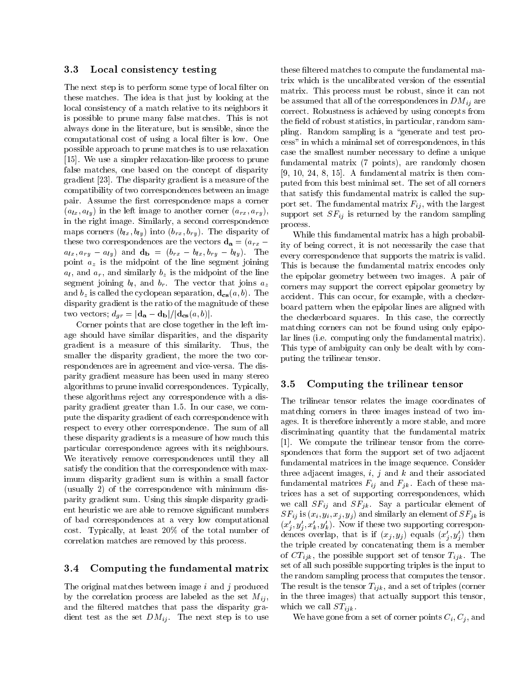#### 3.3Local consistency testing

The next step is to perform some type of local filter on these matches. The idea is that just by looking at the local consistency of a match relative to its neighbors it is possible to prune many false matches. This is not always done in the literature, but is sensible, since the computational cost of using a local filter is low. One possible approach to prune matches is to use relaxation [15]. We use a simpler relaxation-like process to prune false matches, one based on the concept of disparity gradient [23]. The disparity gradient is a measure of the compatibility of two correspondences between an image pair. Assume the first correspondence maps a corner  $\mathcal{A} = \{a_1, a_2, \ldots, a_n\}$  in the left image to another corresponding  $\{a_1, a_2, \ldots, a_n\}$ in the right image. Similarly, a second correspondence maps corners (bly) into (bry). The disparity of  $\alpha$ these two correspondences are the vectors  $\mathbf{d}_a = (a_{rx}$ ary (bly) – (bry in the bry of the first bly). The first bly the bly the bry the bry in the bry the bry the br point az is the midpoint of the line segment joining all and similarly based similarly by is the middle middle similar contract of the middle segment joining bl , and br. The vector that joins az and by is called the control of  $\mu$  is called the control of  $\mu$  and  $\mu$  , and  $\mu$  . The control of  $\mu$ disparity gradient is the ratio of the magnitude of these two vectors; dgr = jeta = p); jeta dbj=jeta dbj=jeta dbj=jeta dbj=jeta dbj=j

Corner points that are close together in the left image should have similar disparities, and the disparity gradient is a measure of this similarity. Thus, the smaller the disparity gradient, the more the two correspondences are in agreement and vice-versa. The disparity gradient measure has been used in many stereo algorithms to prune invalid correspondences. Typically, these algorithms reject any correspondence with a disparity gradient greater than 1.5. In our case, we compute the disparity gradient of each correspondence with respect to every other correspondence. The sum of all these disparity gradients is a measure of how much this particular correspondence agrees with its neighbours. We iteratively remove correspondences until they all satisfy the condition that the correspondence with maximum disparity gradient sum is within a small factor (usually 2) of the correspondence with minimum disparity gradient sum. Using this simple disparity gradient heuristic we are able to remove signicant numbers of bad correspondences at a very low computational cost. Typically, at least 20% of the total number of correlation matches are removed by this process.

#### 3.4Computing the fundamental matrix

The original matches between image i and j produced by the correlation process are labeled as the set Mij , and the filtered matches that pass the disparity gradient test as the set  $\mathcal{L}$  . The set  $\mathcal{L}$  is to use

these filtered matches to compute the fundamental matrix which is the uncalibrated version of the essential matrix. This process must be robust, since it can not be assumed that all of the corresponding that  $\mathcal{L}$  are  $\mathcal{L}$ correct. Robustness is achieved by using concepts from the field of robust statistics, in particular, random sampling. Random sampling is a "generate and test process" in which a minimal set of correspondences, in this case the smallest number necessary to define a unique fundamental matrix (7 points), are randomly chosen  $[9, 10, 24, 8, 15]$ . A fundamental matrix is then computed from this best minimal set. The set of all corners that satisfy this fundamental matrix is called the support set. The fundamental matrix  $\mathbf{F}_{i,j}$  , with the largest support set SFij is returned by the random sampling process.

While this fundamental matrix has a high probability of being correct, it is not necessarily the case that every correspondence that supports the matrix is valid. This is because the fundamental matrix encodes only the epipolar geometry between two images. A pair of corners may support the correct epipolar geometry by accident. This can occur, for example, with a checkerboard pattern when the epipolar lines are aligned with the checkerboard squares. In this case, the correctly matching corners can not be found using only epipolar lines (i.e. computing only the fundamental matrix). This type of ambiguity can only be dealt with by computing the trilinear tensor.

#### 3.5Computing the trilinear tensor

The trilinear tensor relates the image coordinates of matching corners in three images instead of two images. It is therefore inherently a more stable, and more discriminating quantity that the fundamental matrix [1]. We compute the trilinear tensor from the correspondences that form the support set of two adjacent fundamental matrices in the image sequence. Consider three adjacent images,  $i, j$  and  $k$  and their associated for an and Figure . The set of these matrices  $\mathbf{F}$  is an and Figure matrices matrices  $\mathbf{F}$ trices has a set of supporting correspondences, which we call SFI and SFI and SFI and SFI and SFI and SFI and SFI and SFI and SFI and SFI and SFI and SFI and SFI and SFI and SFI and SFI and SFI and SFI and SFI and SFI and SFI and SFI and SFI and SFI and SFI and SFI and SFI a SFij is (xi ; yi ; xj ; yj ) and similarly an element of SFjk is  $(x_j, y_j, x_k, y_k)$ . Now if these two supporting correspondences overlap, that is if  $(x_j, y_j)$  equals  $(x_j, y_j)$  then  $\overline{\phantom{a}}$  $\overline{\phantom{a}}$ the triple created by concatenating them is a member is of CTijk , the possible support set of tensor Tijk . The set of all such possible supporting triples is the input to the random sampling process that computes the tensor.  $T$  result is the tensor Times (corner triples (corner triples (corner triples (corner triples (corner triples (corner triples (corner triples (corner triples (corner triples (corner triples (corner triples (corner triple in the three images) that actually support this tensor, where  $\omega = \omega$  is  $\omega = \mu \nu$ .

where  $\alpha$  is the set of correct of corner points  $\alpha$  ;  $\alpha$  ,  $\beta$  , and an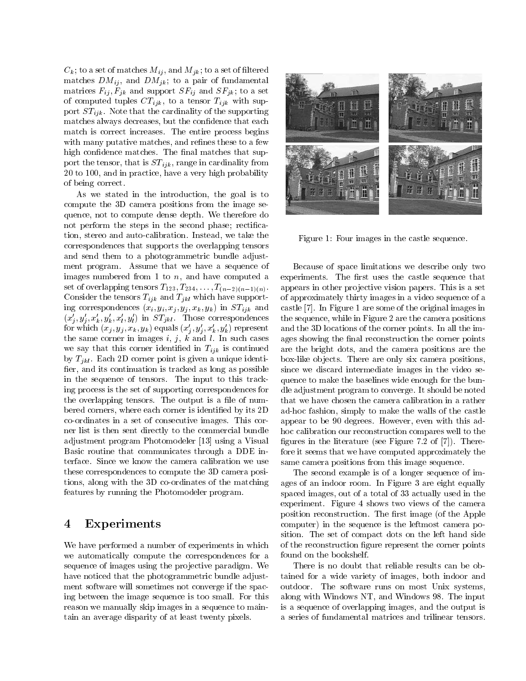$C_k$ ; to a set of matches  $M_{ij}$ , and  $M_{jk}$ ; to a set of filtered matches  $DM_{ij}$ , and  $DM_{jk}$ ; to a pair of fundamental matrices  $F_{ij}, F_{jk}$  and support  $SF_{ij}$  and  $SF_{jk}$ ; to a set of computed tuples  $CT_{ijk}$ , to a tensor  $T_{ijk}$  with support  $ST_{ijk}$ . Note that the cardinality of the supporting matches always decreases, but the confidence that each match is correct increases. The entire process begins with many putative matches, and refines these to a few high confidence matches. The final matches that support the tensor, that is  $ST_{ijk}$ , range in cardinality from 20 to 100, and in practice, have a very high probability of being correct.

As we stated in the introduction, the goal is to compute the 3D camera positions from the image sequence, not to compute dense depth. We therefore do not perform the steps in the second phase; rectification, stereo and auto-calibration. Instead, we take the correspondences that supports the overlapping tensors and send them to a photogrammetric bundle adjustment program. Assume that we have a sequence of images numbered from 1 to  $n$ , and have computed a set of overlapping tensors  $T_{123}, T_{234},\ldots,T_{(n-2)(n-1)(n)}$ . Consider the tensors  $T_{ijk}$  and  $T_{jkl}$  which have supporting correspondences  $(x_i, y_i, x_j, y_j, x_k, y_k)$  in  $ST_{ijk}$  and  $(x_j, y_j, x_k, y_k, x_l, y_l)$  in  $\mathcal{F}_{jkl}$ . Those correspondences for which  $(x_j, y_j, x_k, y_k)$  equals  $(x_j, y_j, x_k, y_k)$  represent the same corner in images  $i, j, k$  and l. In such cases we say that this corner identified in  $T_{ijk}$  is continued by  $T_{jkl}$ . Each 2D corner point is given a unique identifier, and its continuation is tracked as long as possible in the sequence of tensors. The input to this tracking process is the set of supporting correspondences for the overlapping tensors. The output is a file of numbered corners, where each corner is identified by its 2D co-ordinates in a set of consecutive images. This corner list is then sent directly to the commercial bundle adjustment program Photomodeler [13] using a Visual Basic routine that communicates through a DDE interface. Since we know the camera calibration we use these correspondences to compute the 3D camera positions, along with the 3D co-ordinates of the matching features by running the Photomodeler program.

## <sup>4</sup> Experiments

We have performed a number of experiments in which we automatically compute the correspondences for a sequence of images using the projective paradigm. We have noticed that the photogrammetric bundle adjustment software will sometimes not converge if the spacing between the image sequence is too small. For this reason we manually skip images in a sequence to maintain an average disparity of at least twenty pixels.



Figure 1: Four images in the castle sequence.

Because of space limitations we describe only two experiments. The first uses the castle sequence that appears in other projective vision papers. This is a set of approximately thirty images in a video sequence of a castle [7]. In Figure 1 are some of the original images in the sequence, while in Figure 2 are the camera positions and the 3D locations of the corner points. In all the images showing the final reconstruction the corner points are the bright dots, and the camera positions are the box-like ob jects. There are only six camera positions, since we discard intermediate images in the video sequence to make the baselines wide enough for the bundle adjustment program to converge. It should be noted that we have chosen the camera calibration in a rather ad-hoc fashion, simply to make the walls of the castle appear to be 90 degrees. However, even with this adhoc calibration our reconstruction compares well to the figures in the literature (see Figure 7.2 of  $[7]$ ). Therefore it seems that we have computed approximately the same camera positions from this image sequence.

The second example is of a longer sequence of images of an indoor room. In Figure 3 are eight equally spaced images, out of a total of 33 actually used in the experiment. Figure 4 shows two views of the camera position reconstruction. The first image (of the Apple computer) in the sequence is the leftmost camera position. The set of compact dots on the left hand side of the reconstruction figure represent the corner points found on the bookshelf.

There is no doubt that reliable results can be obtained for a wide variety of images, both indoor and outdoor. The software runs on most Unix systems, along with Windows NT, and Windows 98. The input is a sequence of overlapping images, and the output is a series of fundamental matrices and trilinear tensors.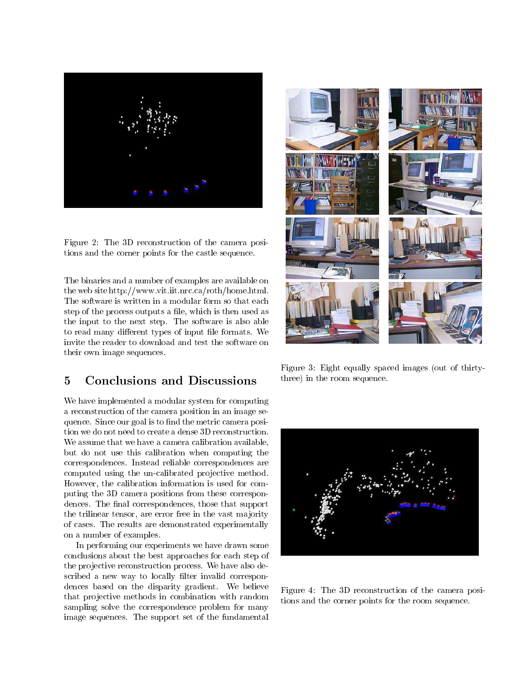

Figure 2: The 3D reconstruction of the camera positions and the corner points for the castle sequence.

The binaries and <sup>a</sup> number of examples are available on the web site http://www.vit.iit.nrc.ca/roth/home.html. step of the process outputs <sup>a</sup> le, which is then used as the input to the next step. The software is also able to read many die aan die die die die die foodste teen die die foodste wetenskip op die foodste konstantiese we their own image sequences.

#### $\overline{5}$ **Conclusions and Discussions**

we have in the modular system for computing a modular system for computing a modular system for computing  $\mathcal{L}_\mathbf{X}$ a reconstruction of the camera position in an image sequence. Since our goal is to nd the metric camera posi-We assume that we have a called called called called called the calibration and called called called the calibration of the calibration of the calibration of the calibration of the calibration of the calibration of the cal but do not use the called this called the computing the computation when  $\mathcal{L}_\mathbf{u}$ correspondences. Instead reliable correspondences are computed using the un-calibrated pro jective method. However, the calibration information is used for computing the 3D camera positions from these correspondences. The model correspondence and consequence the support the trilinear tensor, we easily free in the value of the main  $\sim$ of cases. The results are demonstrated experimentally experimentally experimentally on a number of examples.

In performing our experiments we have drawn some conclusions about the best approaches for each step of each step of each step of each step of each step of each the projective reconstruction process. We have also deed a scribed a new way to recent invector in the correspondences based on the disparity gradient. We believe that pro jective methods in combination with random sampling solve the correspondence problem for many image sequences. The support set of the fundamental



Figure 3: Eight equally spaced images (out of thirtythree) in the room sequence.



Figure 4: The 3D reconstruction of the camera positions and the corner points for the room sequence.